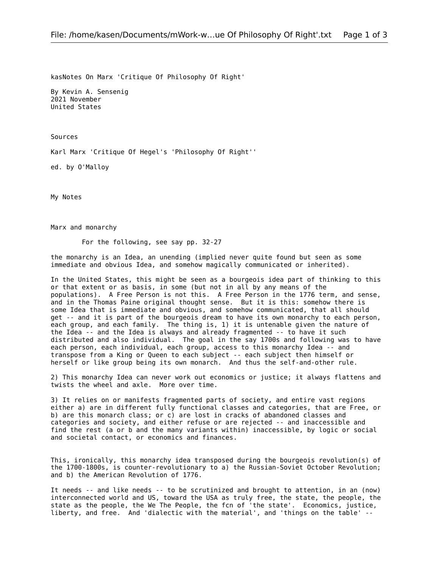kasNotes On Marx 'Critique Of Philosophy Of Right'

By Kevin A. Sensenig 2021 November United States

Sources

Karl Marx 'Critique Of Hegel's 'Philosophy Of Right''

ed. by O'Malloy

My Notes

Marx and monarchy

For the following, see say pp. 32-27

the monarchy is an Idea, an unending (implied never quite found but seen as some immediate and obvious Idea, and somehow magically communicated or inherited).

In the United States, this might be seen as a bourgeois idea part of thinking to this or that extent or as basis, in some (but not in all by any means of the populations). A Free Person is not this. A Free Person in the 1776 term, and sense, and in the Thomas Paine original thought sense. But it is this: somehow there is some Idea that is immediate and obvious, and somehow communicated, that all should get -- and it is part of the bourgeois dream to have its own monarchy to each person, each group, and each family. The thing is, 1) it is untenable given the nature of the Idea -- and the Idea is always and already fragmented -- to have it such distributed and also individual. The goal in the say 1700s and following was to have each person, each individual, each group, access to this monarchy Idea -- and transpose from a King or Queen to each subject -- each subject then himself or herself or like group being its own monarch. And thus the self-and-other rule.

2) This monarchy Idea can never work out economics or justice; it always flattens and twists the wheel and axle. More over time.

3) It relies on or manifests fragmented parts of society, and entire vast regions either a) are in different fully functional classes and categories, that are Free, or b) are this monarch class; or c) are lost in cracks of abandoned classes and categories and society, and either refuse or are rejected -- and inaccessible and find the rest (a or b and the many variants within) inaccessible, by logic or social and societal contact, or economics and finances.

This, ironically, this monarchy idea transposed during the bourgeois revolution(s) of the 1700-1800s, is counter-revolutionary to a) the Russian-Soviet October Revolution; and b) the American Revolution of 1776.

It needs -- and like needs -- to be scrutinized and brought to attention, in an (now) interconnected world and US, toward the USA as truly free, the state, the people, the state as the people, the We The People, the fcn of 'the state'. Economics, justice, liberty, and free. And 'dialectic with the material', and 'things on the table' --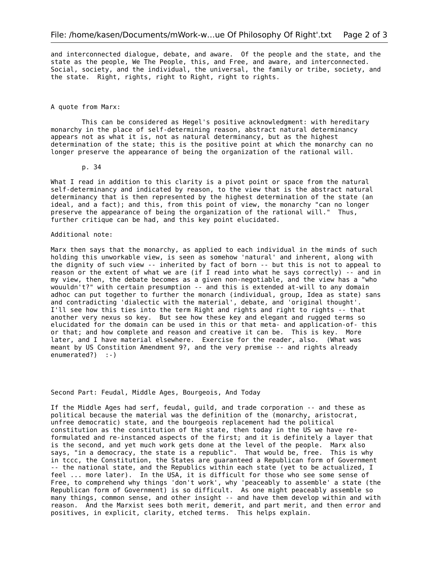and interconnected dialogue, debate, and aware. Of the people and the state, and the state as the people, We The People, this, and Free, and aware, and interconnected. Social, society, and the individual, the universal, the family or tribe, society, and the state. Right, rights, right to Right, right to rights.

## A quote from Marx:

This can be considered as Hegel's positive acknowledgment: with hereditary monarchy in the place of self-determining reason, abstract natural determinancy appears not as what it is, not as natural determinancy, but as the highest determination of the state; this is the positive point at which the monarchy can no longer preserve the appearance of being the organization of the rational will.

## p. 34

What I read in addition to this clarity is a pivot point or space from the natural self-determinancy and indicated by reason, to the view that is the abstract natural determinancy that is then represented by the highest determination of the state (an ideal, and a fact); and this, from this point of view, the monarchy "can no longer preserve the appearance of being the organization of the rational will." Thus, further critique can be had, and this key point elucidated.

## Additional note:

Marx then says that the monarchy, as applied to each individual in the minds of such holding this unworkable view, is seen as somehow 'natural' and inherent, along with the dignity of such view -- inherited by fact of born -- but this is not to appeal to reason or the extent of what we are (if I read into what he says correctly)  $-$  and in my view, then, the debate becomes as a given non-negotiable, and the view has a "who wouuldn't?" with certain presumption -- and this is extended at-will to any domain adhoc can put together to further the monarch (individual, group, Idea as state) sans and contradicting 'dialectic with the material', debate, and 'original thought'. I'll see how this ties into the term Right and rights and right to rights -- that another very nexus so key. But see how these key and elegant and rugged terms so elucidated for the domain can be used in this or that meta- and application-of- this or that; and how complete and reason and creative it can be. This is key. More later, and I have material elsewhere. Exercise for the reader, also. (What was meant by US Constition Amendment 9?, and the very premise -- and rights already enumerated?) :-)

## Second Part: Feudal, Middle Ages, Bourgeois, And Today

If the Middle Ages had serf, feudal, guild, and trade corporation -- and these as political because the material was the definition of the (monarchy, aristocrat, unfree democratic) state, and the bourgeois replacement had the political constitution as the constitution of the state, then today in the US we have reformulated and re-instanced aspects of the first; and it is definitely a layer that is the second, and yet much work gets done at the level of the people. Marx also says, "in a democracy, the state is a republic". That would be, free. This is why in tccc, the Constitution, the States are guaranteed a Republican form of Government -- the national state, and the Republics within each state (yet to be actualized, I feel ... more later). In the USA, it is difficult for those who see some sense of Free, to comprehend why things 'don't work', why 'peaceably to assemble' a state (the Republican form of Government) is so difficult. As one might peaceably assemble so many things, common sense, and other insight -- and have them develop within and with reason. And the Marxist sees both merit, demerit, and part merit, and then error and positives, in explicit, clarity, etched terms. This helps explain.